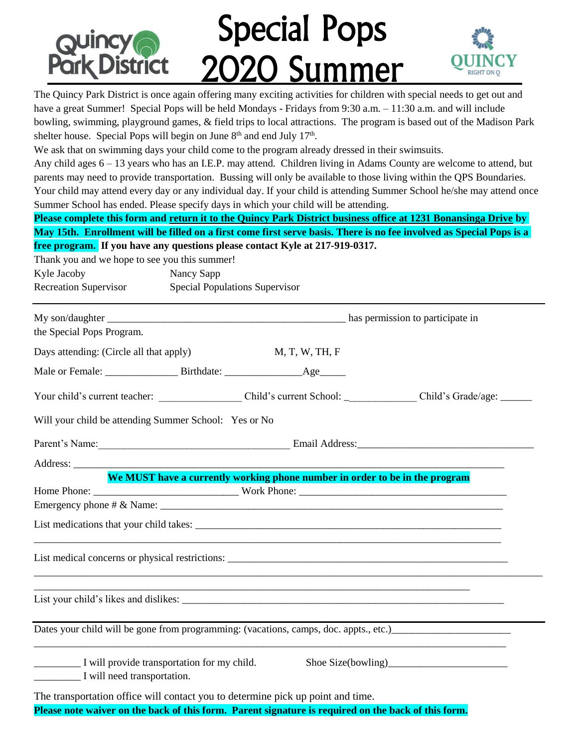# Special Pops 2020 Summer **Park District**

The Quincy Park District is once again offering many exciting activities for children with special needs to get out and<br>have a great Summer! Special Pops will be held Mondays - Fridays from 9:30 a.m. – 11:30 a.m. and will The Quincy Park District is once again offering many exciting activities for children with special needs to get out and have a great Summer! Special Pops will be held Mondays - Fridays from 9:30 a.m. – 11:30 a.m. and will include shelter house. Special Pops will begin on June  $8<sup>th</sup>$  and end July 17<sup>th</sup>.

We ask that on swimming days your child come to the program already dressed in their swimsuits.

Any child ages 6 – 13 years who has an I.E.P. may attend. Children living in Adams County are welcome to attend, but parents may need to provide transportation. Bussing will only be available to those living within the QPS Boundaries. Your child may attend every day or any individual day. If your child is attending Summer School he/she may attend once Summer School has ended. Please specify days in which your child will be attending.

**Please complete this form and return it to the Quincy Park District business office at 1231 Bonansinga Drive by May 15th. Enrollment will be filled on a first come first serve basis. There is no fee involved as Special Pops is a free program. If you have any questions please contact Kyle at 217-919-0317.** 

Thank you and we hope to see you this summer!

Kyle Jacoby Nancy Sapp Recreation Supervisor Special Populations Supervisor

| the Special Pops Program.                                                                           |                                                                             |  |
|-----------------------------------------------------------------------------------------------------|-----------------------------------------------------------------------------|--|
| Days attending: (Circle all that apply)                                                             | M, T, W, TH, F                                                              |  |
|                                                                                                     |                                                                             |  |
|                                                                                                     |                                                                             |  |
| Will your child be attending Summer School: Yes or No                                               |                                                                             |  |
| Parent's Name: Email Address: Email Address:                                                        |                                                                             |  |
|                                                                                                     |                                                                             |  |
|                                                                                                     | We MUST have a currently working phone number in order to be in the program |  |
|                                                                                                     |                                                                             |  |
|                                                                                                     |                                                                             |  |
|                                                                                                     |                                                                             |  |
| List medical concerns or physical restrictions:                                                     |                                                                             |  |
|                                                                                                     | <u> 1989 - Johann Stoff, amerikansk politiker (d. 1989)</u>                 |  |
|                                                                                                     |                                                                             |  |
| I will provide transportation for my child.<br>I will need transportation.                          |                                                                             |  |
| The transportation office will contact you to determine pick up point and time.                     |                                                                             |  |
| Please note waiver on the back of this form. Parent signature is required on the back of this form. |                                                                             |  |